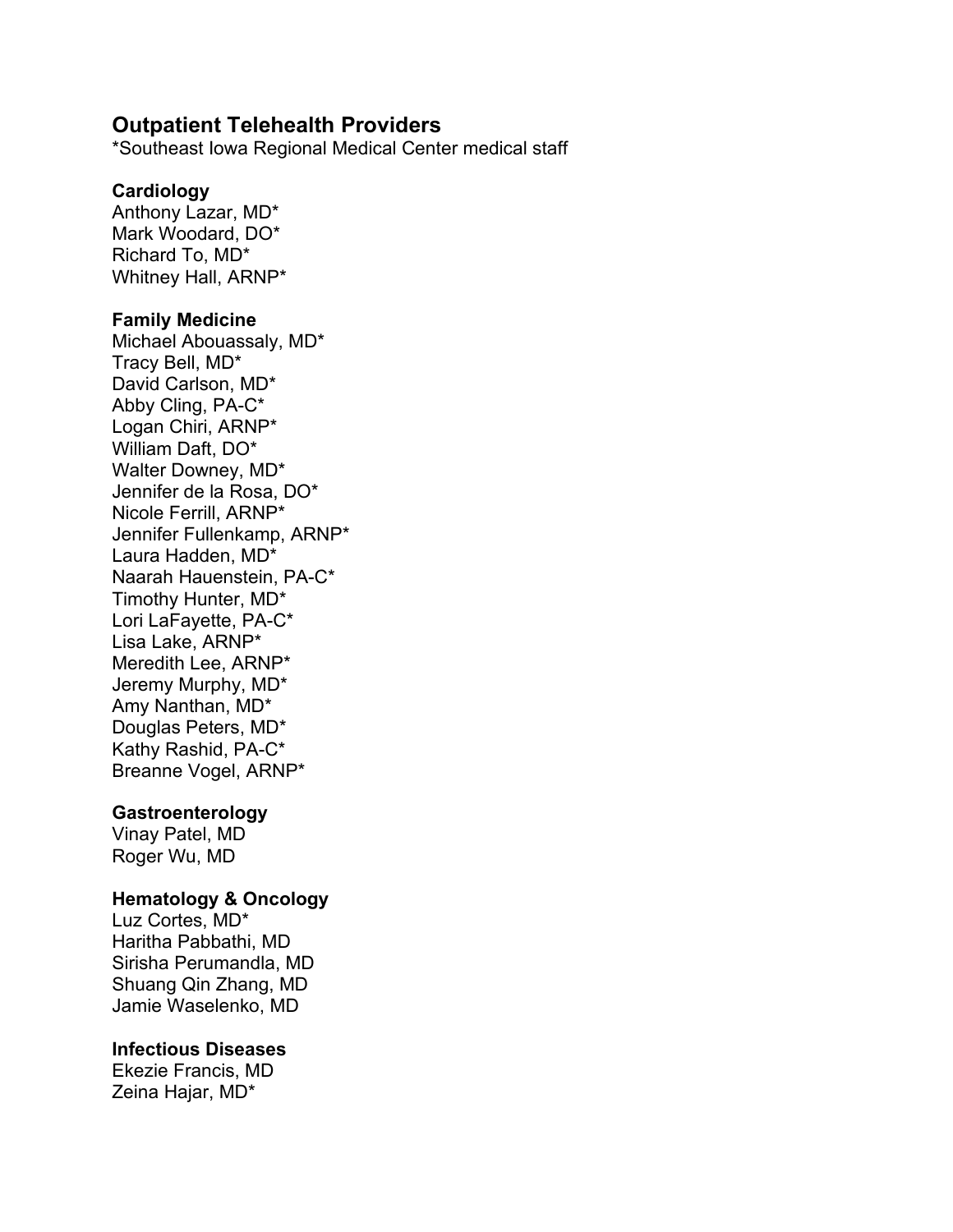# **Outpatient Telehealth Providers**

\*Southeast Iowa Regional Medical Center medical staff

## **Cardiology**

Anthony Lazar, MD\* Mark Woodard, DO\* Richard To, MD\* Whitney Hall, ARNP\*

### **Family Medicine**

Michael Abouassaly, MD\* Tracy Bell, MD\* David Carlson, MD\* Abby Cling, PA-C\* Logan Chiri, ARNP\* William Daft, DO\* Walter Downey, MD\* Jennifer de la Rosa, DO\* Nicole Ferrill, ARNP\* Jennifer Fullenkamp, ARNP\* Laura Hadden, MD\* Naarah Hauenstein, PA-C\* Timothy Hunter, MD\* Lori LaFayette, PA-C\* Lisa Lake, ARNP\* Meredith Lee, ARNP\* Jeremy Murphy, MD\* Amy Nanthan, MD\* Douglas Peters, MD\* Kathy Rashid, PA-C\* Breanne Vogel, ARNP\*

## **Gastroenterology**

Vinay Patel, MD Roger Wu, MD

## **Hematology & Oncology**

Luz Cortes, MD\* Haritha Pabbathi, MD Sirisha Perumandla, MD Shuang Qin Zhang, MD Jamie Waselenko, MD

## **Infectious Diseases**

Ekezie Francis, MD Zeina Hajar, MD\*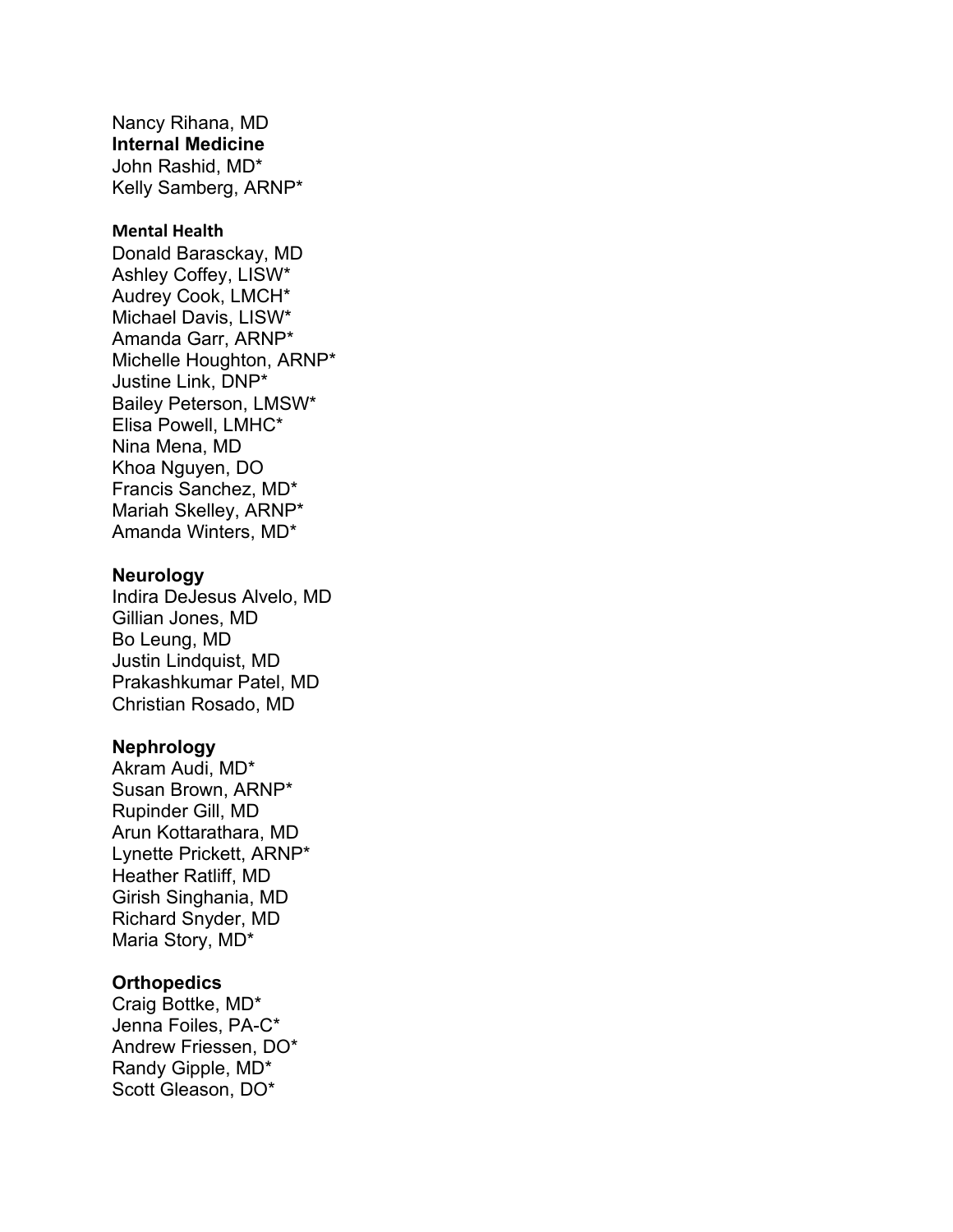Nancy Rihana, MD **Internal Medicine** John Rashid, MD\* Kelly Samberg, ARNP\*

### **Mental Health**

Donald Barasckay, MD Ashley Coffey, LISW\* Audrey Cook, LMCH\* Michael Davis, LISW\* Amanda Garr, ARNP\* Michelle Houghton, ARNP\* Justine Link, DNP\* Bailey Peterson, LMSW\* Elisa Powell, LMHC\* Nina Mena, MD Khoa Nguyen, DO Francis Sanchez, MD\* Mariah Skelley, ARNP\* Amanda Winters, MD\*

#### **Neurology**

Indira DeJesus Alvelo, MD Gillian Jones, MD Bo Leung, MD Justin Lindquist, MD Prakashkumar Patel, MD Christian Rosado, MD

#### **Nephrology**

Akram Audi, MD\* Susan Brown, ARNP\* Rupinder Gill, MD Arun Kottarathara, MD Lynette Prickett, ARNP\* Heather Ratliff, MD Girish Singhania, MD Richard Snyder, MD Maria Story, MD\*

#### **Orthopedics**

Craig Bottke, MD\* Jenna Foiles, PA-C\* Andrew Friessen, DO\* Randy Gipple, MD\* Scott Gleason, DO\*